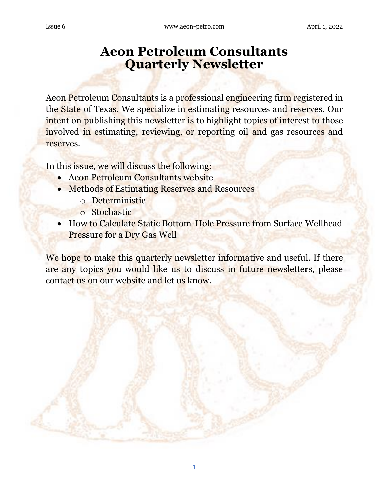# **Aeon Petroleum Consultants Quarterly Newsletter**

Aeon Petroleum Consultants is a professional engineering firm registered in the State of Texas. We specialize in estimating resources and reserves. Our intent on publishing this newsletter is to highlight topics of interest to those involved in estimating, reviewing, or reporting oil and gas resources and reserves.

In this issue, we will discuss the following:

- Aeon Petroleum Consultants website
- Methods of Estimating Reserves and Resources
	- o Deterministic
	- o Stochastic
- How to Calculate Static Bottom-Hole Pressure from Surface Wellhead Pressure for a Dry Gas Well

We hope to make this quarterly newsletter informative and useful. If there are any topics you would like us to discuss in future newsletters, please contact us on our website and let us know.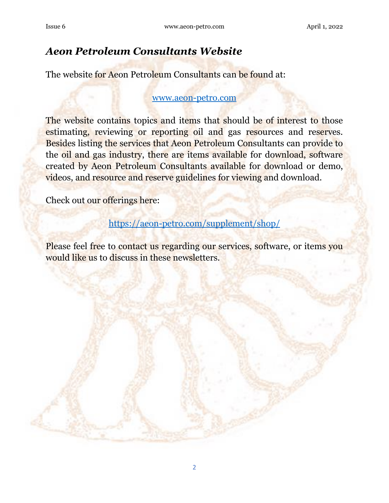### *Aeon Petroleum Consultants Website*

The website for Aeon Petroleum Consultants can be found at:

#### [www.aeon-petro.com](http://www.aeon-petro.com/)

The website contains topics and items that should be of interest to those estimating, reviewing or reporting oil and gas resources and reserves. Besides listing the services that Aeon Petroleum Consultants can provide to the oil and gas industry, there are items available for download, software created by Aeon Petroleum Consultants available for download or demo, videos, and resource and reserve guidelines for viewing and download.

Check out our offerings here:

[https://aeon-petro.com/supplement/shop/](http://www.aeon-petro.com/supplement/shop)

Please feel free to contact us regarding our services, software, or items you would like us to discuss in these newsletters.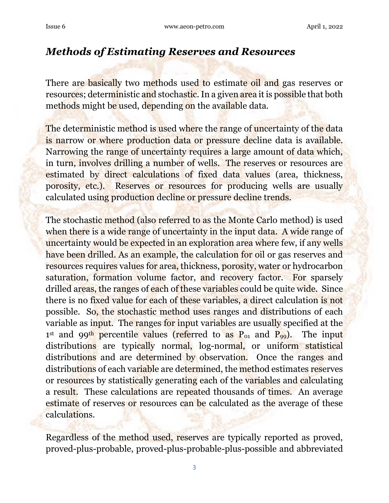### *Methods of Estimating Reserves and Resources*

There are **basically** two methods used to estimate oil and gas reserves or resources; deterministic and stochastic. In a given area it is possible that both methods might be used, depending on the available data.

The deterministic method is used where the range of uncertainty of the data is narrow or where production data or pressure decline data is available. Narrowing the range of uncertainty requires a large amount of data which, in turn, involves drilling a number of wells. The reserves or resources are estimated by direct calculations of fixed data values (area, thickness, porosity, etc.). Reserves or resources for producing wells are usually calculated using production decline or pressure decline trends.

The stochastic method (also referred to as the Monte Carlo method) is used when there is a wide range of uncertainty in the input data. A wide range of uncertainty would be expected in an exploration area where few, if any wells have been drilled. As an example, the calculation for oil or gas reserves and resources requires values for area, thickness, porosity, water or hydrocarbon saturation, formation volume factor, and recovery factor. For sparsely drilled areas, the ranges of each of these variables could be quite wide. Since there is no fixed value for each of these variables, a direct calculation is not possible. So, the stochastic method uses ranges and distributions of each variable as input. The ranges for input variables are usually specified at the 1<sup>st</sup> and 99<sup>th</sup> percentile values (referred to as P<sub>01</sub> and P<sub>99</sub>). The input distributions are typically normal, log-normal, or uniform statistical distributions and are determined by observation. Once the ranges and distributions of each variable are determined, the method estimates reserves or resources by statistically generating each of the variables and calculating a result. These calculations are repeated thousands of times. An average estimate of reserves or resources can be calculated as the average of these calculations.

Regardless of the method used, reserves are typically reported as proved, proved-plus-probable, proved-plus-probable-plus-possible and abbreviated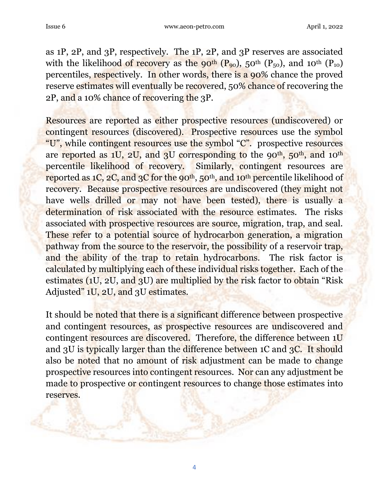as 1P, 2P, and 3P, respectively. The 1P, 2P, and 3P reserves are associated with the likelihood of recovery as the 90<sup>th</sup> ( $P_{90}$ ), 50<sup>th</sup> ( $P_{50}$ ), and 10<sup>th</sup> ( $P_{10}$ ) percentiles, respectively. In other words, there is a 90% chance the proved reserve estimates will eventually be recovered, 50% chance of recovering the 2P, and a 10% chance of recovering the 3P.

Resources are reported as either prospective resources (undiscovered) or contingent resources (discovered). Prospective resources use the symbol "U", while contingent resources use the symbol "C". prospective resources are reported as  $1U$ ,  $2U$ , and  $3U$  corresponding to the 90<sup>th</sup>,  $50<sup>th</sup>$ , and  $10<sup>th</sup>$ percentile likelihood of recovery. Similarly, contingent resources are reported as  $1C$ ,  $2C$ , and  $3C$  for the 90<sup>th</sup>,  $50<sup>th</sup>$ , and  $10<sup>th</sup>$  percentile likelihood of recovery. Because prospective resources are undiscovered (they might not have wells drilled or may not have been tested), there is usually a determination of risk associated with the resource estimates. The risks associated with prospective resources are source, migration, trap, and seal. These refer to a potential source of hydrocarbon generation, a migration pathway from the source to the reservoir, the possibility of a reservoir trap, and the ability of the trap to retain hydrocarbons. The risk factor is calculated by multiplying each of these individual risks together. Each of the estimates (1U, 2U, and 3U) are multiplied by the risk factor to obtain "Risk" Adjusted" 1U, 2U, and 3U estimates.

It should be noted that there is a significant difference between prospective and contingent resources, as prospective resources are undiscovered and contingent resources are discovered. Therefore, the difference between 1U and 3U is typically larger than the difference between 1C and 3C. It should also be noted that no amount of risk adjustment can be made to change prospective resources into contingent resources. Nor can any adjustment be made to prospective or contingent resources to change those estimates into reserves.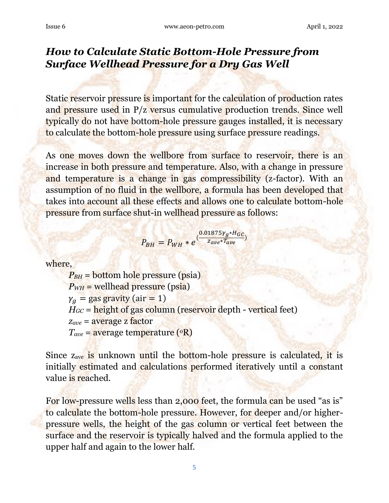## *How to Calculate Static Bottom-Hole Pressure from Surface Wellhead Pressure for a Dry Gas Well*

Static reservoir pressure is important for the calculation of production rates and pressure used in P/z versus cumulative production trends. Since well typically do not have bottom-hole pressure gauges installed, it is necessary to calculate the bottom-hole pressure using surface pressure readings.

As one moves down the wellbore from surface to reservoir, there is an increase in both pressure and temperature. Also, with a change in pressure and temperature is a change in gas compressibility (z-factor). With an assumption of no fluid in the wellbore, a formula has been developed that takes into account all these effects and allows one to calculate bottom-hole pressure from surface shut-in wellhead pressure as follows:

$$
P_{BH} = P_{WH} * e^{\left(\frac{0.01875\gamma_g * H_{GC}}{Z_{ave}*T_{ave}}\right)}
$$

where,

 $P_{BH}$  = bottom hole pressure (psia)  $P_{WH}$  = wellhead pressure (psia)  $\gamma_a =$  gas gravity (air = 1)  $H_{GC}$  = height of gas column (reservoir depth - vertical feet) *zave* = average z factor  $T_{ave}$  = average temperature  $({}^{\circ}R)$ 

Since zave is unknown until the bottom-hole pressure is calculated, it is initially estimated and calculations performed iteratively until a constant value is reached.

For low-pressure wells less than 2,000 feet, the formula can be used "as is" to calculate the bottom-hole pressure. However, for deeper and/or higherpressure wells, the height of the gas column or vertical feet between the surface and the reservoir is typically halved and the formula applied to the upper half and again to the lower half.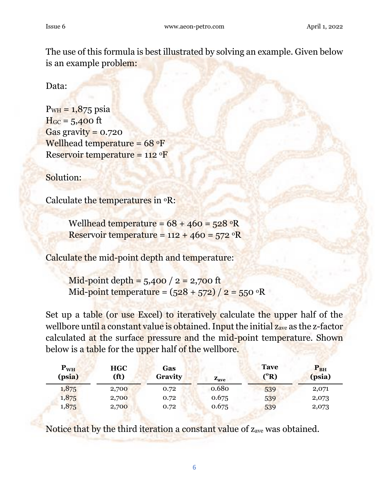The use of this formula is best illustrated by solving an example. Given below is an example problem:

Data:

 $P_{WH} = 1,875 \text{ psia}$  $H_{GC} = 5,400$  ft Gas gravity =  $0.720$ Wellhead temperature =  $68 °F$ Reservoir temperature =  $112 \text{ }^\circ F$ 

Solution:

Calculate the temperatures in  ${}^{\circ}R$ :

Wellhead temperature =  $68 + 460 = 528$  <sup>o</sup>R Reservoir temperature =  $112 + 460 = 572$  <sup>o</sup>R

Calculate the mid-point depth and temperature:

Mid-point depth =  $5,400 / 2 = 2,700$  ft Mid-point temperature =  $(528 + 572)/2 = 550$  <sup>o</sup>R

Set up a table (or use Excel) to iteratively calculate the upper half of the wellbore until a constant value is obtained. Input the initial z<sub>ave</sub> as the z-factor calculated at the surface pressure and the mid-point temperature. Shown below is a table for the upper half of the wellbore.

| $P_{WH}$<br>(psia) | <b>HGC</b><br>(f <sup>t</sup> ) | Gas<br>Gravity | $\mathbf{z}_{\text{ave}}$ | <b>Tave</b><br>$({}^{\rm o}R)$ | $\mathbf{P_{BH}}$<br>(psia) |
|--------------------|---------------------------------|----------------|---------------------------|--------------------------------|-----------------------------|
| 1,875              | 2,700                           | 0.72           | 0.680                     | 539                            | 2,071                       |
| 1,875              | 2,700                           | 0.72           | 0.675                     | 539                            | 2,073                       |
| 1,875              | 2,700                           | 0.72           | 0.675                     | 539                            | 2,073                       |

Notice that by the third iteration a constant value of z<sub>ave</sub> was obtained.